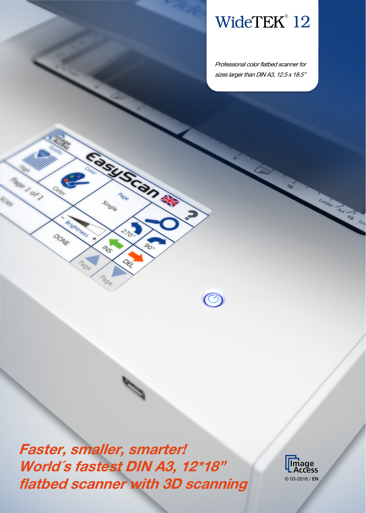# WideTEK® 12

Professional color flatbed scanner for sizes larger than DIN A3, 12.5 x 18.5"

70

Letter As 15 lem

Faster, smaller, smarter! World´s fastest DIN A3, 12\*18" flatbed scanner with 3D scanning 
<sup>© 03-2016 / EN</sup>

Fast Scander

Pro

DEL

 $\mathcal{S}_{\hspace{-0.2em}\mathcal{O}_{\mathrm{o}}}$ 

 $\bigodot$ 

Single

 $\mathcal{U}_{\mathcal{S}}$ 

Page

ge 1 or 1

SCAN

Colo

DONE

Brightness

Page

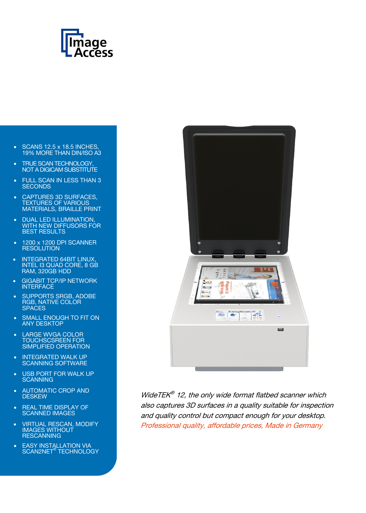

- SCANS 12.5 x 18.5 INCHES, 19% MORE THAN DIN/ISO A3
- **TRUE SCAN TECHNOLOGY,** NOT A DIGICAM SUBSTITUTE
- FULL SCAN IN LESS THAN 3 **SECONDS**
- CAPTURES 3D SURFACES, TEXTURES OF VARIOUS MATERIALS, BRAILLE PRINT
- DUAL LED ILLUMINATION, WITH NEW DIFFUSORS FOR BEST RESULTS
- 1200 x 1200 DPI SCANNER **RESOLUTION**
- INTEGRATED 64BIT LINUX, INTEL I3 QUAD CORE, 8 GB RAM, 320GB HDD
- GIGABIT TCP/IP NETWORK INTERFACE
- SUPPORTS SRGB, ADOBE RGB, NATIVE COLOR **SPACES**
- SMALL ENOUGH TO FIT ON ANY DESKTOP
- LARGE WVGA COLOR TOUCHSCSREEN FOR SIMPLIFIED OPERATION
- INTEGRATED WALK UP SCANNING SOFTWARE
- USB PORT FOR WALK UP **SCANNING**
- AUTOMATIC CROP AND **DESKEW**
- REAL TIME DISPLAY OF SCANNED IMAGES
- VIRTUAL RESCAN, MODIFY IMAGES WITHOUT **RESCANNING**
- **EASY INSTALLATION VIA** SCAN2NET® TECHNOLOGY



WideTE $K^{\otimes}$  12, the only wide format flatbed scanner which also captures 3D surfaces in a quality suitable for inspection and quality control but compact enough for your desktop. Professional quality, affordable prices, Made in Germany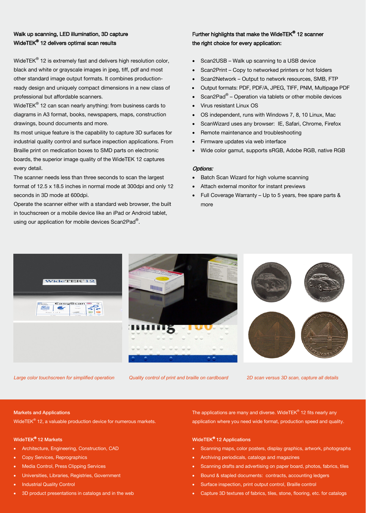### Walk up scanning, LED illumination, 3D capture WideTEK® 12 delivers optimal scan results

WideTEK® 12 is extremely fast and delivers high resolution color, black and white or grayscale images in jpeg, tiff, pdf and most other standard image output formats. It combines productionready design and uniquely compact dimensions in a new class of professional but affordable scanners.

WideTEK<sup>®</sup> 12 can scan nearly anything: from business cards to diagrams in A3 format, books, newspapers, maps, construction drawings, bound documents and more.

Its most unique feature is the capability to capture 3D surfaces for industrial quality control and surface inspection applications. From Braille print on medication boxes to SMD parts on electronic boards, the superior image quality of the WideTEK 12 captures every detail.

The scanner needs less than three seconds to scan the largest format of 12.5 x 18.5 inches in normal mode at 300dpi and only 12 seconds in 3D mode at 600dpi.

Operate the scanner either with a standard web browser, the built in touchscreen or a mobile device like an iPad or Android tablet, using our application for mobile devices Scan2Pad®.

### Further highlights that make the WideTEK® 12 scanner the right choice for every application:

- Scan2USB Walk up scanning to a USB device
- Scan2Print Copy to networked printers or hot folders
- Scan2Network Output to network resources, SMB, FTP
- Output formats: PDF, PDF/A, JPEG, TIFF, PNM, Multipage PDF
- Scan2Pad<sup>®</sup> Operation via tablets or other mobile devices
- Virus resistant Linux OS
- OS independent, runs with Windows 7, 8, 10 Linux, Mac
- ScanWizard uses any browser: IE, Safari, Chrome, Firefox
- Remote maintenance and troubleshooting
- Firmware updates via web interface
- Wide color gamut, supports sRGB, Adobe RGB, native RGB

### Options:

- Batch Scan Wizard for high volume scanning
- Attach external monitor for instant previews
- Full Coverage Warranty Up to 5 years, free spare parts & more



*Large color touchscreen for simplified operation Quality control of print and braille on cardboard 2D scan versus 3D scan, capture all details*

### Markets and Applications

WideTEK® 12, a valuable production device for numerous markets.

### WideTEK® 12 Markets

- Architecture, Engineering, Construction, CAD
- Copy Services, Reprographics
- Media Control, Press Clipping Services
- Universities, Libraries, Registries, Government
- Industrial Quality Control
- 3D product presentations in catalogs and in the web

The applications are many and diverse. WideTEK® 12 fits nearly any application where you need wide format, production speed and quality.

### WideTEK® 12 Applications

- Scanning maps, color posters, display graphics, artwork, photographs
- Archiving periodicals, catalogs and magazines
- Scanning drafts and advertising on paper board, photos, fabrics, tiles
- Bound & stapled documents: contracts, accounting ledgers
- Surface inspection, print output control, Braille control
- Capture 3D textures of fabrics, tiles, stone, flooring, etc. for catalogs